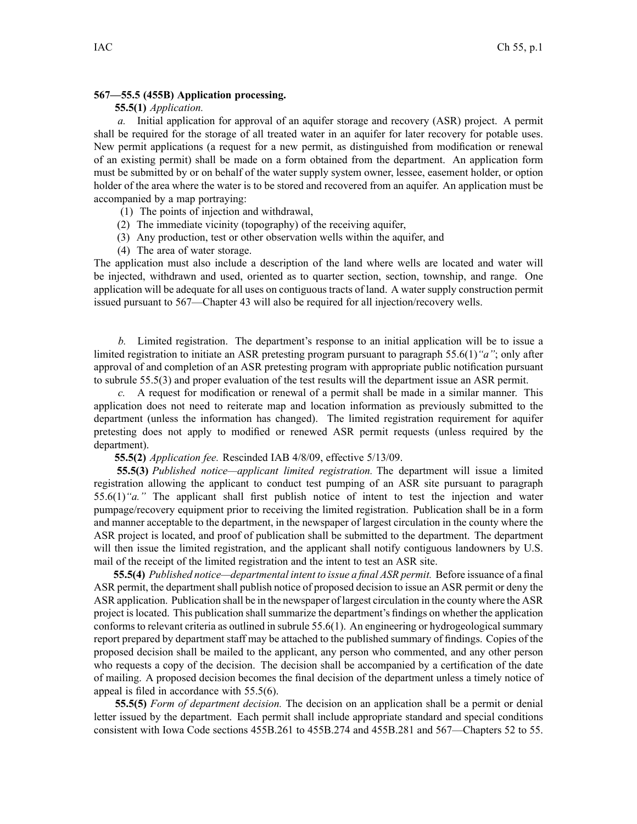## **567—55.5 (455B) Application processing.**

## **55.5(1)** *Application.*

*a.* Initial application for approval of an aquifer storage and recovery (ASR) project. A permit shall be required for the storage of all treated water in an aquifer for later recovery for potable uses. New permit applications (a reques<sup>t</sup> for <sup>a</sup> new permit, as distinguished from modification or renewal of an existing permit) shall be made on <sup>a</sup> form obtained from the department. An application form must be submitted by or on behalf of the water supply system owner, lessee, easement holder, or option holder of the area where the water is to be stored and recovered from an aquifer. An application must be accompanied by <sup>a</sup> map portraying:

- (1) The points of injection and withdrawal,
- (2) The immediate vicinity (topography) of the receiving aquifer,
- (3) Any production, test or other observation wells within the aquifer, and
- (4) The area of water storage.

The application must also include <sup>a</sup> description of the land where wells are located and water will be injected, withdrawn and used, oriented as to quarter section, section, township, and range. One application will be adequate for all uses on contiguous tracts of land. A water supply construction permit issued pursuan<sup>t</sup> to 567—Chapter 43 will also be required for all injection/recovery wells.

*b.* Limited registration. The department's response to an initial application will be to issue <sup>a</sup> limited registration to initiate an ASR pretesting program pursuan<sup>t</sup> to paragraph 55.6(1)*"a"*; only after approval of and completion of an ASR pretesting program with appropriate public notification pursuan<sup>t</sup> to subrule 55.5(3) and proper evaluation of the test results will the department issue an ASR permit.

*c.* A reques<sup>t</sup> for modification or renewal of <sup>a</sup> permit shall be made in <sup>a</sup> similar manner. This application does not need to reiterate map and location information as previously submitted to the department (unless the information has changed). The limited registration requirement for aquifer pretesting does not apply to modified or renewed ASR permit requests (unless required by the department).

**55.5(2)** *Application fee.* Rescinded IAB 4/8/09, effective 5/13/09.

**55.5(3)** *Published notice—applicant limited registration.* The department will issue <sup>a</sup> limited registration allowing the applicant to conduct test pumping of an ASR site pursuan<sup>t</sup> to paragraph 55.6(1)*"a."* The applicant shall first publish notice of intent to test the injection and water pumpage/recovery equipment prior to receiving the limited registration. Publication shall be in <sup>a</sup> form and manner acceptable to the department, in the newspaper of largest circulation in the county where the ASR project is located, and proof of publication shall be submitted to the department. The department will then issue the limited registration, and the applicant shall notify contiguous landowners by U.S. mail of the receipt of the limited registration and the intent to test an ASR site.

**55.5(4)** *Published notice—departmental intent to issue <sup>a</sup> final ASR permit.* Before issuance of <sup>a</sup> final ASR permit, the department shall publish notice of proposed decision to issue an ASR permit or deny the ASR application. Publication shall be in the newspaper of largest circulation in the county where the ASR project is located. This publication shall summarize the department's findings on whether the application conforms to relevant criteria as outlined in subrule 55.6(1). An engineering or hydrogeological summary repor<sup>t</sup> prepared by department staff may be attached to the published summary of findings. Copies of the proposed decision shall be mailed to the applicant, any person who commented, and any other person who requests <sup>a</sup> copy of the decision. The decision shall be accompanied by <sup>a</sup> certification of the date of mailing. A proposed decision becomes the final decision of the department unless <sup>a</sup> timely notice of appeal is filed in accordance with 55.5(6).

**55.5(5)** *Form of department decision.* The decision on an application shall be <sup>a</sup> permit or denial letter issued by the department. Each permit shall include appropriate standard and special conditions consistent with Iowa Code sections 455B.261 to 455B.274 and 455B.281 and 567—Chapters 52 to 55.